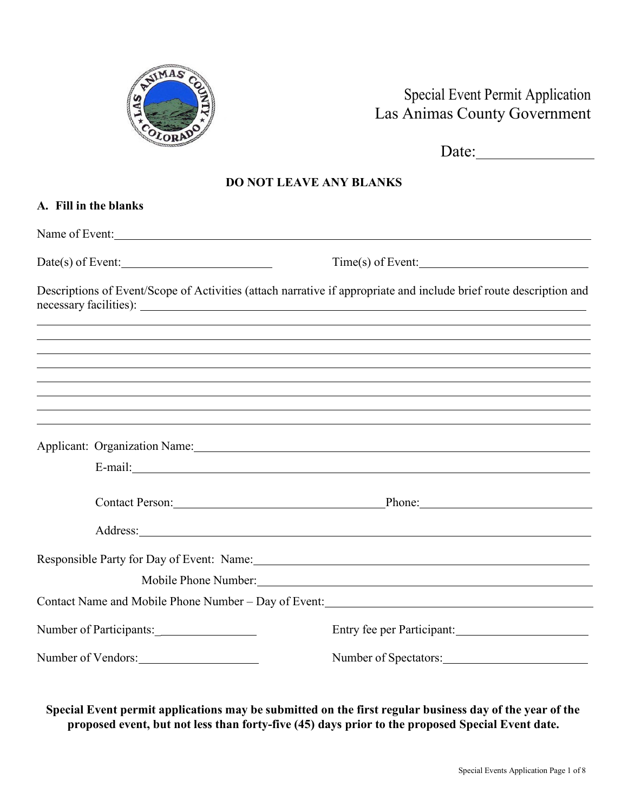

# Special Event Permit Application Las Animas County Government

Date:

## **DO NOT LEAVE ANY BLANKS**

| A. Fill in the blanks                                                                                                                                                                                  |                                                                                                                                                                                                                                      |
|--------------------------------------------------------------------------------------------------------------------------------------------------------------------------------------------------------|--------------------------------------------------------------------------------------------------------------------------------------------------------------------------------------------------------------------------------------|
| Name of Event:                                                                                                                                                                                         |                                                                                                                                                                                                                                      |
| $Date(s)$ of Event:                                                                                                                                                                                    | $Time(s)$ of Event:                                                                                                                                                                                                                  |
| Descriptions of Event/Scope of Activities (attach narrative if appropriate and include brief route description and<br>,我们也不会有什么。""我们的人,我们也不会有什么?""我们的人,我们也不会有什么?""我们的人,我们也不会有什么?""我们的人,我们也不会有什么?""我们的人 |                                                                                                                                                                                                                                      |
| ,我们也不会有什么。""我们的人,我们也不会有什么?""我们的人,我们也不会有什么?""我们的人,我们也不会有什么?""我们的人,我们也不会有什么?""我们的人                                                                                                                       |                                                                                                                                                                                                                                      |
| ,我们也不能在这里的时候,我们也不能在这里的时候,我们也不能不能不能不能不能不能不能不能不能不能不能不能不能。""我们,我们也不能不能不能不能不能不能不能不能不能                                                                                                                      |                                                                                                                                                                                                                                      |
|                                                                                                                                                                                                        |                                                                                                                                                                                                                                      |
|                                                                                                                                                                                                        |                                                                                                                                                                                                                                      |
|                                                                                                                                                                                                        | Contact Person: Phone: Phone:                                                                                                                                                                                                        |
|                                                                                                                                                                                                        | Address: <u>and the same of the same of the same of the same of the same of the same of the same of the same of the same of the same of the same of the same of the same of the same of the same of the same of the same of the </u> |
|                                                                                                                                                                                                        | Mobile Phone Number: 1988                                                                                                                                                                                                            |
|                                                                                                                                                                                                        |                                                                                                                                                                                                                                      |
|                                                                                                                                                                                                        | Entry fee per Participant:                                                                                                                                                                                                           |
| Number of Vendors:                                                                                                                                                                                     | Number of Spectators:                                                                                                                                                                                                                |

**Special Event permit applications may be submitted on the first regular business day of the year of the proposed event, but not less than forty-five (45) days prior to the proposed Special Event date.**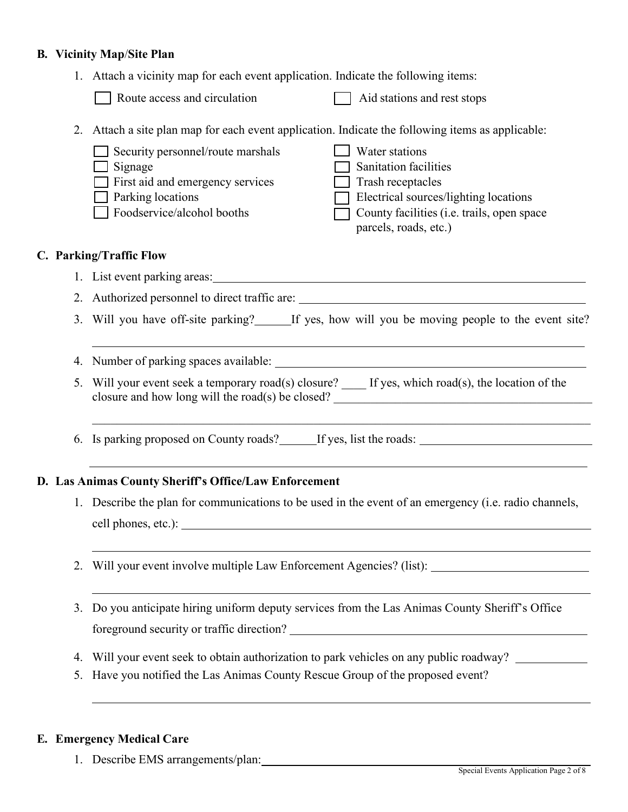#### **B. Vicinity Map**/**Site Plan**

1. Attach a vicinity map for each event application. Indicate the following items:

| $\Box$ Aid stations and rest stops<br>Route access and circulation |
|--------------------------------------------------------------------|
|--------------------------------------------------------------------|

2. Attach a site plan map for each event application. Indicate the following items as applicable:

| $\Box$ Security personnel/route marshals | Water stations                             |
|------------------------------------------|--------------------------------------------|
| Signage                                  | <b>Sanitation facilities</b>               |
| $\Box$ First aid and emergency services  | Trash receptacles                          |
| $\Box$ Parking locations                 | Electrical sources/lighting locations      |
| Foodservice/alcohol booths               | County facilities (i.e. trails, open space |
|                                          | parcels, roads, etc.)                      |
|                                          |                                            |

## **C. Parking/Traffic Flow**

- 1. List event parking areas:
- 2. Authorized personnel to direct traffic are:
- 3. Will you have off-site parking? If yes, how will you be moving people to the event site?

4. Number of parking spaces available:

5. Will your event seek a temporary road(s) closure? \_\_\_\_\_ If yes, which road(s), the location of the closure and how long will the road(s) be closed? \_\_\_\_\_\_\_\_\_\_\_\_\_\_\_\_\_\_\_\_\_\_\_\_\_\_\_\_\_\_\_\_\_\_\_\_\_\_\_\_\_\_

\_\_\_\_\_\_\_\_\_\_\_\_\_\_\_\_\_\_\_\_\_\_\_\_\_\_\_\_\_\_\_\_\_\_\_\_\_\_\_\_\_\_\_\_\_\_\_\_\_\_\_\_\_\_\_\_\_\_\_\_\_\_\_\_\_\_\_\_\_\_\_\_\_\_\_\_\_\_\_\_\_

6. Is parking proposed on County roads? If yes, list the roads:

#### **D. Las Animas County Sheriff's Office/Law Enforcement**

- 1. Describe the plan for communications to be used in the event of an emergency (i.e. radio channels, cell phones, etc.):
- 2. Will your event involve multiple Law Enforcement Agencies? (list):
- 3. Do you anticipate hiring uniform deputy services from the Las Animas County Sheriff's Office foreground security or traffic direction?
- 4. Will your event seek to obtain authorization to park vehicles on any public roadway?
- 5. Have you notified the Las Animas County Rescue Group of the proposed event?

#### **E. Emergency Medical Care**

1. Describe EMS arrangements/plan: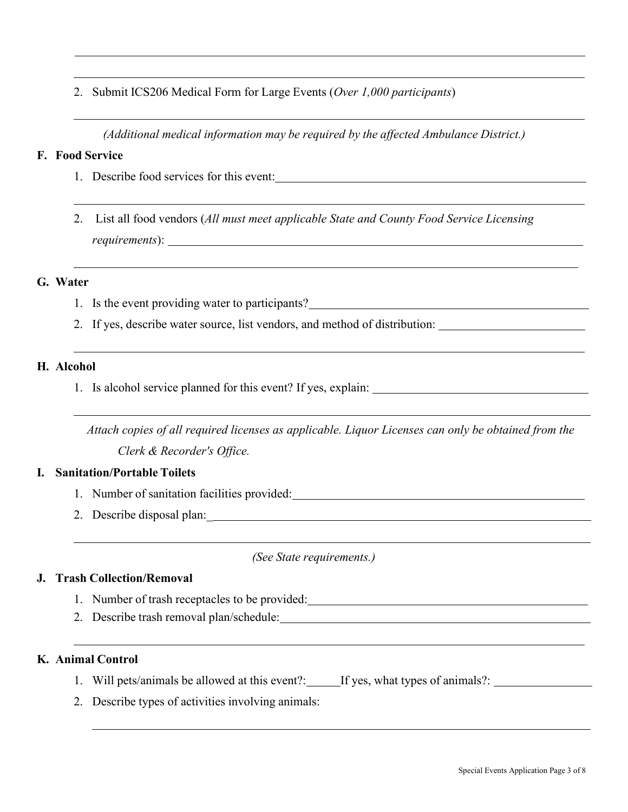2. Submit ICS206 Medical Form for Large Events (*Over 1,000 participants*)

*(Additional medical information may be required by the affected Ambulance District.)*

#### **F. Food Service**

- 1. Describe food services for this event:
- 2. List all food vendors (*All must meet applicable State and County Food Service Licensing requirements*):

#### **G. Water**

- 1. Is the event providing water to participants?
- 2. If yes, describe water source, list vendors, and method of distribution:

#### **H. Alcohol**

1. Is alcohol service planned for this event? If yes, explain:

*Attach copies of all required licenses as applicable. Liquor Licenses can only be obtained from the Clerk & Recorder's Office.*

#### **I. Sanitation/Portable Toilets**

- 1. Number of sanitation facilities provided:
- 2. Describe disposal plan:\_

*(See State requirements.)*

#### **J. Trash Collection/Removal**

- 1. Number of trash receptacles to be provided:
- 2. Describe trash removal plan/schedule:

#### **K. Animal Control**

- 1. Will pets/animals be allowed at this event?: If yes, what types of animals?:
- 2. Describe types of activities involving animals: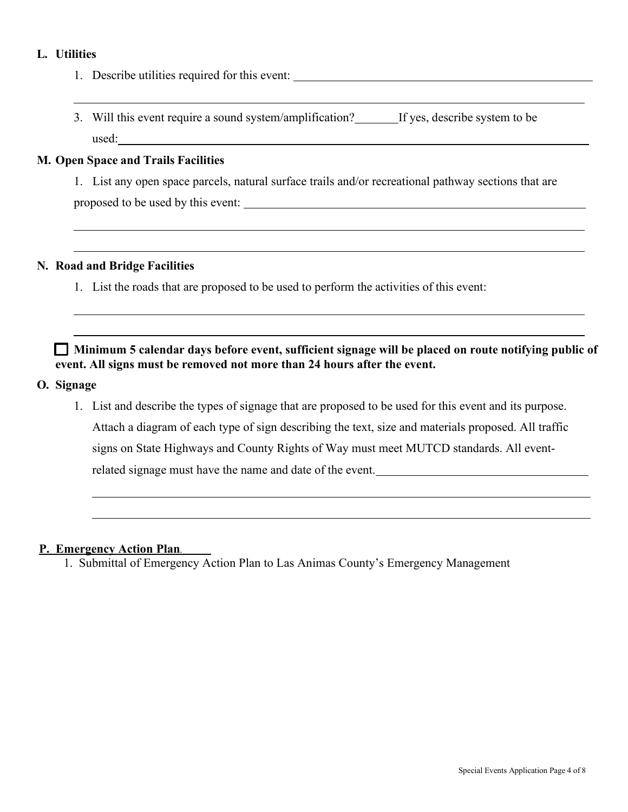### **L. Utilities**

- 1. Describe utilities required for this event:
- 3. Will this event require a sound system/amplification? If yes, describe system to be used:

#### **M. Open Space and Trails Facilities**

1. List any open space parcels, natural surface trails and/or recreational pathway sections that are proposed to be used by this event:

#### **N. Road and Bridge Facilities**

1. List the roads that are proposed to be used to perform the activities of this event:

 **Minimum 5 calendar days before event, sufficient signage will be placed on route notifying public of event. All signs must be removed not more than 24 hours after the event.** 

#### **O. Signage**

1. List and describe the types of signage that are proposed to be used for this event and its purpose. Attach a diagram of each type of sign describing the text, size and materials proposed. All traffic signs on State Highways and County Rights of Way must meet MUTCD standards. All eventrelated signage must have the name and date of the event.

## **P. Emergency Action Plan.**

1. Submittal of Emergency Action Plan to Las Animas County's Emergency Management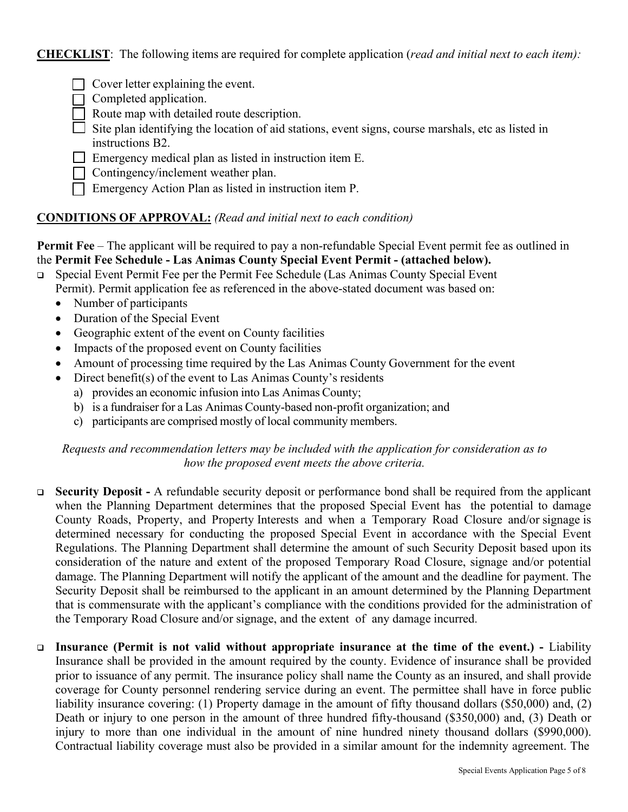**CHECKLIST**: The following items are required for complete application (*read and initial next to each item):*

- Cover letter explaining the event.
- Completed application.
- Route map with detailed route description.
- Site plan identifying the location of aid stations, event signs, course marshals, etc as listed in instructions B2.
- **The Emergency medical plan as listed in instruction item E.**
- Contingency/inclement weather plan.
- $\Box$  Emergency Action Plan as listed in instruction item P.

## **CONDITIONS OF APPROVAL:** *(Read and initial next to each condition)*

**Permit Fee** – The applicant will be required to pay a non-refundable Special Event permit fee as outlined in the **Permit Fee Schedule - Las Animas County Special Event Permit - (attached below).**

- Special Event Permit Fee per the Permit Fee Schedule (Las Animas County Special Event Permit). Permit application fee as referenced in the above-stated document was based on:
	- Number of participants
	- Duration of the Special Event
	- Geographic extent of the event on County facilities
	- Impacts of the proposed event on County facilities
	- Amount of processing time required by the Las Animas County Government for the event
	- Direct benefit(s) of the event to Las Animas County's residents
		- a) provides an economic infusion into Las Animas County;
		- b) is a fundraiser for a Las Animas County-based non-profit organization; and
		- c) participants are comprised mostly of local community members.

## *Requests and recommendation letters may be included with the application for consideration as to how the proposed event meets the above criteria.*

- **Security Deposit** A refundable security deposit or performance bond shall be required from the applicant when the Planning Department determines that the proposed Special Event has the potential to damage County Roads, Property, and Property Interests and when a Temporary Road Closure and/or signage is determined necessary for conducting the proposed Special Event in accordance with the Special Event Regulations. The Planning Department shall determine the amount of such Security Deposit based upon its consideration of the nature and extent of the proposed Temporary Road Closure, signage and/or potential damage. The Planning Department will notify the applicant of the amount and the deadline for payment. The Security Deposit shall be reimbursed to the applicant in an amount determined by the Planning Department that is commensurate with the applicant's compliance with the conditions provided for the administration of the Temporary Road Closure and/or signage, and the extent of any damage incurred.
- **Insurance (Permit is not valid without appropriate insurance at the time of the event.)** Liability Insurance shall be provided in the amount required by the county. Evidence of insurance shall be provided prior to issuance of any permit. The insurance policy shall name the County as an insured, and shall provide coverage for County personnel rendering service during an event. The permittee shall have in force public liability insurance covering: (1) Property damage in the amount of fifty thousand dollars (\$50,000) and, (2) Death or injury to one person in the amount of three hundred fifty-thousand (\$350,000) and, (3) Death or injury to more than one individual in the amount of nine hundred ninety thousand dollars (\$990,000). Contractual liability coverage must also be provided in a similar amount for the indemnity agreement. The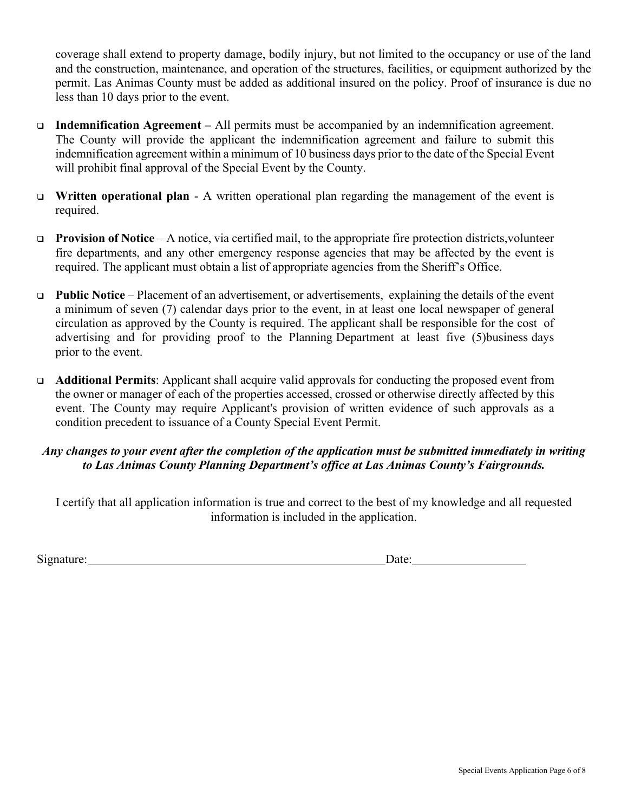coverage shall extend to property damage, bodily injury, but not limited to the occupancy or use of the land and the construction, maintenance, and operation of the structures, facilities, or equipment authorized by the permit. Las Animas County must be added as additional insured on the policy. Proof of insurance is due no less than 10 days prior to the event.

- **Indemnification Agreement** All permits must be accompanied by an indemnification agreement. The County will provide the applicant the indemnification agreement and failure to submit this indemnification agreement within a minimum of 10 business days prior to the date of the Special Event will prohibit final approval of the Special Event by the County.
- **Written operational plan**  A written operational plan regarding the management of the event is required.
- **Provision of Notice** A notice, via certified mail, to the appropriate fire protection districts, volunteer fire departments, and any other emergency response agencies that may be affected by the event is required. The applicant must obtain a list of appropriate agencies from the Sheriff's Office.
- **Public Notice**  Placement of an advertisement, or advertisements, explaining the details of the event a minimum of seven (7) calendar days prior to the event, in at least one local newspaper of general circulation as approved by the County is required. The applicant shall be responsible for the cost of advertising and for providing proof to the Planning Department at least five (5) business days prior to the event.
- **Additional Permits**: Applicant shall acquire valid approvals for conducting the proposed event from the owner or manager of each of the properties accessed, crossed or otherwise directly affected by this event. The County may require Applicant's provision of written evidence of such approvals as a condition precedent to issuance of a County Special Event Permit.

## *Any changes to your event after the completion of the application must be submitted immediately in writing to Las Animas County Planning Department's office at Las Animas County's Fairgrounds.*

I certify that all application information is true and correct to the best of my knowledge and all requested information is included in the application.

Signature: Date: Date: Date: Date: Date: Date: Date: Date: Date: Date: Date: Date: Date: Date: Date: Date: Date: Date: Date: Date: Date: Date: Date: Date: Date: Date: Date: Date: Date: Date: Date: Date: Date: Date: Date: D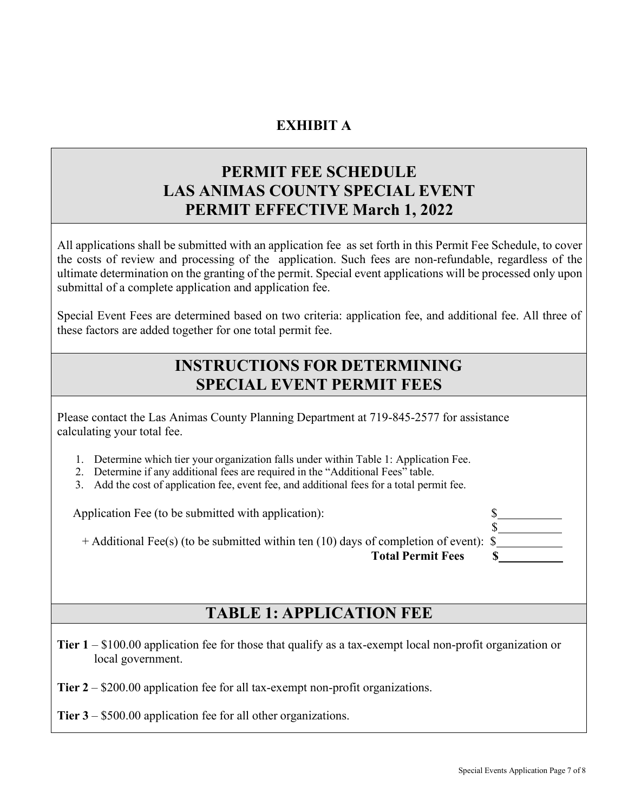## **EXHIBIT A**

# **PERMIT FEE SCHEDULE LAS ANIMAS COUNTY SPECIAL EVENT PERMIT EFFECTIVE March 1, 2022**

All applications shall be submitted with an application fee as set forth in this Permit Fee Schedule, to cover the costs of review and processing of the application. Such fees are non-refundable, regardless of the ultimate determination on the granting of the permit. Special event applications will be processed only upon submittal of a complete application and application fee.

Special Event Fees are determined based on two criteria: application fee, and additional fee. All three of these factors are added together for one total permit fee.

## **INSTRUCTIONS FOR DETERMINING SPECIAL EVENT PERMIT FEES**

Please contact the Las Animas County Planning Department at 719-845-2577 for assistance calculating your total fee.

- 1. Determine which tier your organization falls under within Table 1: Application Fee.
- 2. Determine if any additional fees are required in the "Additional Fees" table.
- 3. Add the cost of application fee, event fee, and additional fees for a total permit fee.

Application Fee (to be submitted with application):

+ Additional Fee(s) (to be submitted within ten (10) days of completion of event): \$ **Total Permit Fees \$** 

## **TABLE 1: APPLICATION FEE**

**Tier 1** – \$100.00 application fee for those that qualify as a tax-exempt local non-profit organization or local government.

**Tier 2** – \$200.00 application fee for all tax-exempt non-profit organizations.

**Tier 3** – \$500.00 application fee for all other organizations.

 $S_{-}$